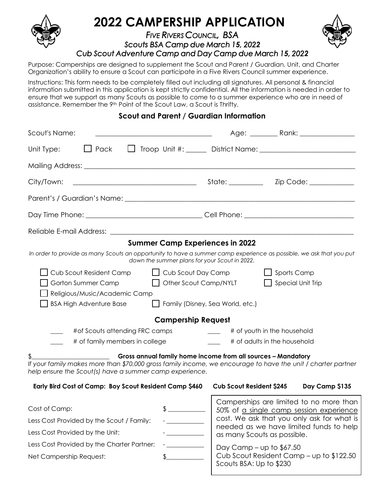

Purpose: Camperships are designed to supplement the Scout and Parent / Guardian, Unit, and Charter Organization's ability to ensure a Scout can participate in a Five Rivers Council summer experience.

Instructions: This form needs to be completely filled out including all signatures. All personal & financial information submitted in this application is kept strictly confidential. All the information is needed in order to ensure that we support as many Scouts as possible to come to a summer experience who are in need of assistance. Remember the 9<sup>th</sup> Point of the Scout Law, a Scout is Thrifty.

## **Scout and Parent / Guardian Information**

| Scout's Name:                                                                                                                                                                                                                           |                                               |                                                                                                                                                                             |  |                |  |
|-----------------------------------------------------------------------------------------------------------------------------------------------------------------------------------------------------------------------------------------|-----------------------------------------------|-----------------------------------------------------------------------------------------------------------------------------------------------------------------------------|--|----------------|--|
| $\Box$ Pack<br>Unit Type:                                                                                                                                                                                                               |                                               |                                                                                                                                                                             |  |                |  |
|                                                                                                                                                                                                                                         |                                               |                                                                                                                                                                             |  |                |  |
| City/Town:                                                                                                                                                                                                                              |                                               |                                                                                                                                                                             |  |                |  |
|                                                                                                                                                                                                                                         |                                               |                                                                                                                                                                             |  |                |  |
|                                                                                                                                                                                                                                         |                                               |                                                                                                                                                                             |  |                |  |
|                                                                                                                                                                                                                                         |                                               |                                                                                                                                                                             |  |                |  |
|                                                                                                                                                                                                                                         | <b>Summer Camp Experiences in 2022</b>        |                                                                                                                                                                             |  |                |  |
| In order to provide as many Scouts an opportunity to have a summer camp experience as possible, we ask that you put                                                                                                                     | down the summer plans for your Scout in 2022. |                                                                                                                                                                             |  |                |  |
| Cub Scout Resident Camp<br>$\Box$ Cub Scout Day Camp<br>$\Box$ Sports Camp<br>Other Scout Camp/NYLT<br>$\Box$ Special Unit Trip<br>Gorton Summer Camp<br>Religious/Music/Academic Camp                                                  |                                               |                                                                                                                                                                             |  |                |  |
| <b>BSA High Adventure Base</b>                                                                                                                                                                                                          | Family (Disney, Sea World, etc.)              |                                                                                                                                                                             |  |                |  |
|                                                                                                                                                                                                                                         | <b>Campership Request</b>                     |                                                                                                                                                                             |  |                |  |
| # of Scouts attending FRC camps                                                                                                                                                                                                         |                                               | # of youth in the household                                                                                                                                                 |  |                |  |
| # of family members in college                                                                                                                                                                                                          |                                               | # of adults in the household                                                                                                                                                |  |                |  |
| Gross annual family home income from all sources - Mandatory<br>If your family makes more than \$70,000 gross family income, we encourage to have the unit / charter partner<br>help ensure the Scout(s) have a summer camp experience. |                                               |                                                                                                                                                                             |  |                |  |
| Early Bird Cost of Camp: Boy Scout Resident Camp \$460                                                                                                                                                                                  |                                               | <b>Cub Scout Resident \$245</b>                                                                                                                                             |  | Day Camp \$135 |  |
| Cost of Camp:                                                                                                                                                                                                                           |                                               | Camperships are limited to no more than<br>50% of a single camp session experience<br>cost. We ask that you only ask for what is<br>needed as we have limited funds to help |  |                |  |
| Less Cost Provided by the Scout / Family:<br>Less Cost Provided by the Unit:                                                                                                                                                            |                                               |                                                                                                                                                                             |  |                |  |
| Less Cost Provided by the Charter Partner:                                                                                                                                                                                              |                                               | as many Scouts as possible.                                                                                                                                                 |  |                |  |
| Net Campership Request:                                                                                                                                                                                                                 |                                               | Day Camp $-$ up to \$67.50<br>Cub Scout Resident Camp – up to \$122.50                                                                                                      |  |                |  |

Scouts BSA: Up to \$230